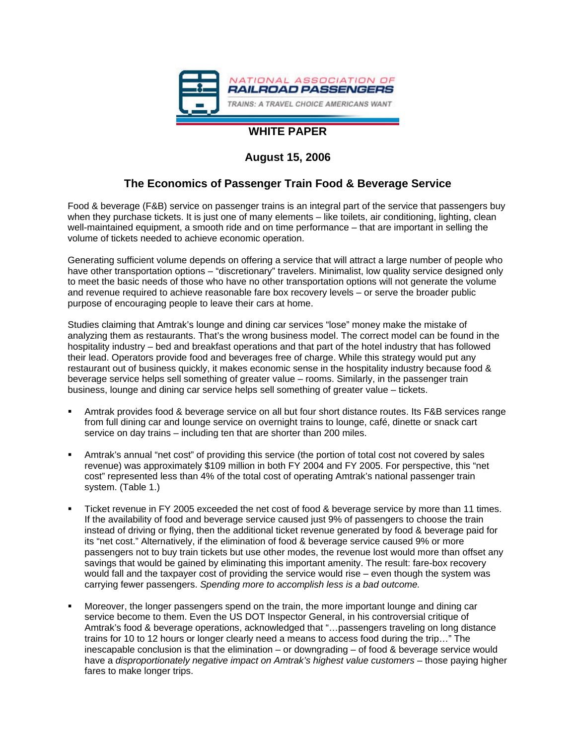

### **WHITE PAPER**

### **August 15, 2006**

#### **The Economics of Passenger Train Food & Beverage Service**

Food & beverage (F&B) service on passenger trains is an integral part of the service that passengers buy when they purchase tickets. It is just one of many elements – like toilets, air conditioning, lighting, clean well-maintained equipment, a smooth ride and on time performance – that are important in selling the volume of tickets needed to achieve economic operation.

Generating sufficient volume depends on offering a service that will attract a large number of people who have other transportation options – "discretionary" travelers. Minimalist, low quality service designed only to meet the basic needs of those who have no other transportation options will not generate the volume and revenue required to achieve reasonable fare box recovery levels – or serve the broader public purpose of encouraging people to leave their cars at home.

Studies claiming that Amtrak's lounge and dining car services "lose" money make the mistake of analyzing them as restaurants. That's the wrong business model. The correct model can be found in the hospitality industry – bed and breakfast operations and that part of the hotel industry that has followed their lead. Operators provide food and beverages free of charge. While this strategy would put any restaurant out of business quickly, it makes economic sense in the hospitality industry because food & beverage service helps sell something of greater value – rooms. Similarly, in the passenger train business, lounge and dining car service helps sell something of greater value – tickets.

- Amtrak provides food & beverage service on all but four short distance routes. Its F&B services range from full dining car and lounge service on overnight trains to lounge, café, dinette or snack cart service on day trains – including ten that are shorter than 200 miles.
- Amtrak's annual "net cost" of providing this service (the portion of total cost not covered by sales revenue) was approximately \$109 million in both FY 2004 and FY 2005. For perspective, this "net cost" represented less than 4% of the total cost of operating Amtrak's national passenger train system. (Table 1.)
- Ticket revenue in FY 2005 exceeded the net cost of food & beverage service by more than 11 times. If the availability of food and beverage service caused just 9% of passengers to choose the train instead of driving or flying, then the additional ticket revenue generated by food & beverage paid for its "net cost." Alternatively, if the elimination of food & beverage service caused 9% or more passengers not to buy train tickets but use other modes, the revenue lost would more than offset any savings that would be gained by eliminating this important amenity. The result: fare-box recovery would fall and the taxpayer cost of providing the service would rise – even though the system was carrying fewer passengers. *Spending more to accomplish less is a bad outcome.*
- Moreover, the longer passengers spend on the train, the more important lounge and dining car service become to them. Even the US DOT Inspector General, in his controversial critique of Amtrak's food & beverage operations, acknowledged that "…passengers traveling on long distance trains for 10 to 12 hours or longer clearly need a means to access food during the trip…" The inescapable conclusion is that the elimination – or downgrading – of food & beverage service would have a *disproportionately negative impact on Amtrak's highest value customers* – those paying higher fares to make longer trips.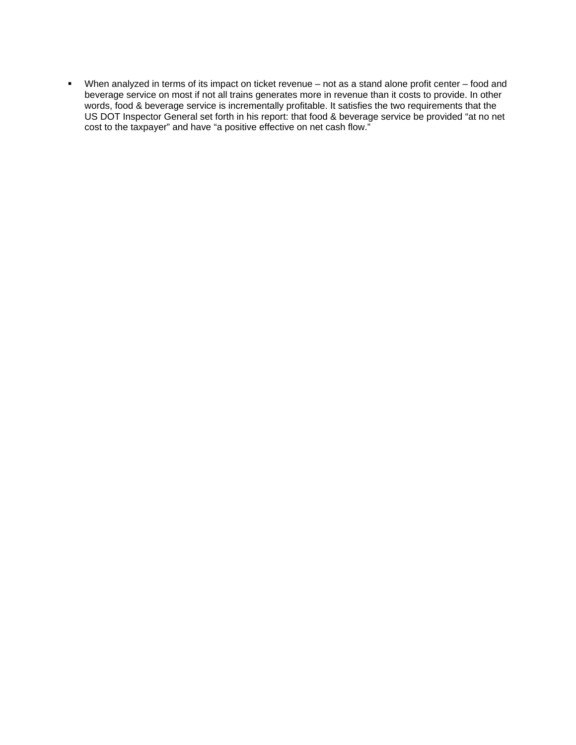When analyzed in terms of its impact on ticket revenue – not as a stand alone profit center – food and beverage service on most if not all trains generates more in revenue than it costs to provide. In other words, food & beverage service is incrementally profitable. It satisfies the two requirements that the US DOT Inspector General set forth in his report: that food & beverage service be provided "at no net cost to the taxpayer" and have "a positive effective on net cash flow."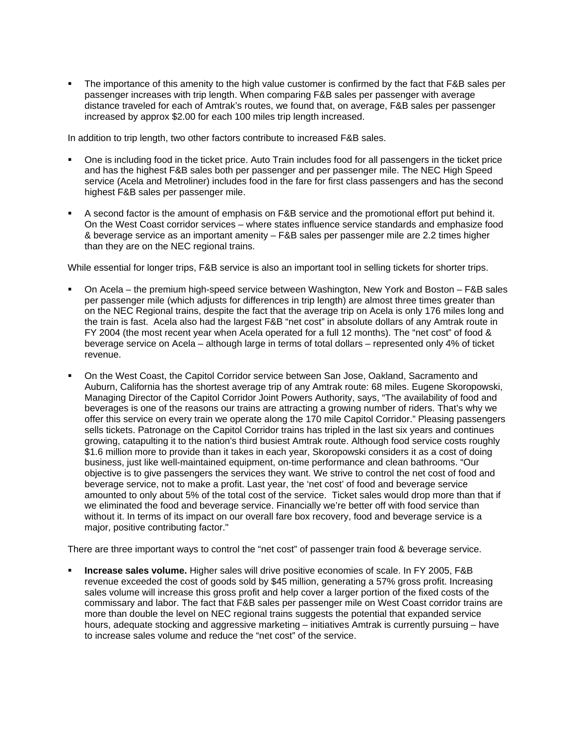The importance of this amenity to the high value customer is confirmed by the fact that F&B sales per passenger increases with trip length. When comparing F&B sales per passenger with average distance traveled for each of Amtrak's routes, we found that, on average, F&B sales per passenger increased by approx \$2.00 for each 100 miles trip length increased.

In addition to trip length, two other factors contribute to increased F&B sales.

- One is including food in the ticket price. Auto Train includes food for all passengers in the ticket price and has the highest F&B sales both per passenger and per passenger mile. The NEC High Speed service (Acela and Metroliner) includes food in the fare for first class passengers and has the second highest F&B sales per passenger mile.
- A second factor is the amount of emphasis on F&B service and the promotional effort put behind it. On the West Coast corridor services – where states influence service standards and emphasize food & beverage service as an important amenity – F&B sales per passenger mile are 2.2 times higher than they are on the NEC regional trains.

While essential for longer trips, F&B service is also an important tool in selling tickets for shorter trips.

- On Acela the premium high-speed service between Washington, New York and Boston F&B sales per passenger mile (which adjusts for differences in trip length) are almost three times greater than on the NEC Regional trains, despite the fact that the average trip on Acela is only 176 miles long and the train is fast. Acela also had the largest F&B "net cost" in absolute dollars of any Amtrak route in FY 2004 (the most recent year when Acela operated for a full 12 months). The "net cost" of food & beverage service on Acela – although large in terms of total dollars – represented only 4% of ticket revenue.
- On the West Coast, the Capitol Corridor service between San Jose, Oakland, Sacramento and Auburn, California has the shortest average trip of any Amtrak route: 68 miles. Eugene Skoropowski, Managing Director of the Capitol Corridor Joint Powers Authority, says, "The availability of food and beverages is one of the reasons our trains are attracting a growing number of riders. That's why we offer this service on every train we operate along the 170 mile Capitol Corridor." Pleasing passengers sells tickets. Patronage on the Capitol Corridor trains has tripled in the last six years and continues growing, catapulting it to the nation's third busiest Amtrak route. Although food service costs roughly \$1.6 million more to provide than it takes in each year, Skoropowski considers it as a cost of doing business, just like well-maintained equipment, on-time performance and clean bathrooms. "Our objective is to give passengers the services they want. We strive to control the net cost of food and beverage service, not to make a profit. Last year, the 'net cost' of food and beverage service amounted to only about 5% of the total cost of the service. Ticket sales would drop more than that if we eliminated the food and beverage service. Financially we're better off with food service than without it. In terms of its impact on our overall fare box recovery, food and beverage service is a major, positive contributing factor."

There are three important ways to control the "net cost" of passenger train food & beverage service.

 **Increase sales volume.** Higher sales will drive positive economies of scale. In FY 2005, F&B revenue exceeded the cost of goods sold by \$45 million, generating a 57% gross profit. Increasing sales volume will increase this gross profit and help cover a larger portion of the fixed costs of the commissary and labor. The fact that F&B sales per passenger mile on West Coast corridor trains are more than double the level on NEC regional trains suggests the potential that expanded service hours, adequate stocking and aggressive marketing – initiatives Amtrak is currently pursuing – have to increase sales volume and reduce the "net cost" of the service.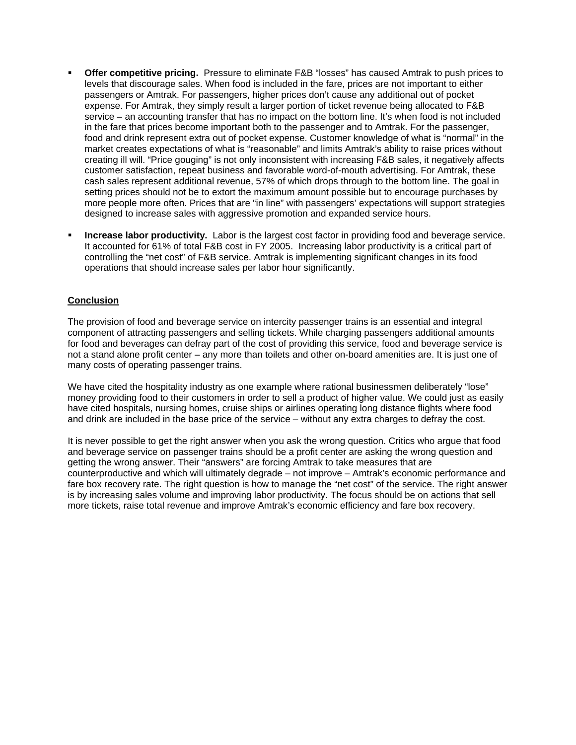- **Offer competitive pricing.** Pressure to eliminate F&B "losses" has caused Amtrak to push prices to levels that discourage sales. When food is included in the fare, prices are not important to either passengers or Amtrak. For passengers, higher prices don't cause any additional out of pocket expense. For Amtrak, they simply result a larger portion of ticket revenue being allocated to F&B service – an accounting transfer that has no impact on the bottom line. It's when food is not included in the fare that prices become important both to the passenger and to Amtrak. For the passenger, food and drink represent extra out of pocket expense. Customer knowledge of what is "normal" in the market creates expectations of what is "reasonable" and limits Amtrak's ability to raise prices without creating ill will. "Price gouging" is not only inconsistent with increasing F&B sales, it negatively affects customer satisfaction, repeat business and favorable word-of-mouth advertising. For Amtrak, these cash sales represent additional revenue, 57% of which drops through to the bottom line. The goal in setting prices should not be to extort the maximum amount possible but to encourage purchases by more people more often. Prices that are "in line" with passengers' expectations will support strategies designed to increase sales with aggressive promotion and expanded service hours.
- **Increase labor productivity.** Labor is the largest cost factor in providing food and beverage service. It accounted for 61% of total F&B cost in FY 2005. Increasing labor productivity is a critical part of controlling the "net cost" of F&B service. Amtrak is implementing significant changes in its food operations that should increase sales per labor hour significantly.

#### **Conclusion**

The provision of food and beverage service on intercity passenger trains is an essential and integral component of attracting passengers and selling tickets. While charging passengers additional amounts for food and beverages can defray part of the cost of providing this service, food and beverage service is not a stand alone profit center – any more than toilets and other on-board amenities are. It is just one of many costs of operating passenger trains.

We have cited the hospitality industry as one example where rational businessmen deliberately "lose" money providing food to their customers in order to sell a product of higher value. We could just as easily have cited hospitals, nursing homes, cruise ships or airlines operating long distance flights where food and drink are included in the base price of the service – without any extra charges to defray the cost.

It is never possible to get the right answer when you ask the wrong question. Critics who argue that food and beverage service on passenger trains should be a profit center are asking the wrong question and getting the wrong answer. Their "answers" are forcing Amtrak to take measures that are counterproductive and which will ultimately degrade – not improve – Amtrak's economic performance and fare box recovery rate. The right question is how to manage the "net cost" of the service. The right answer is by increasing sales volume and improving labor productivity. The focus should be on actions that sell more tickets, raise total revenue and improve Amtrak's economic efficiency and fare box recovery.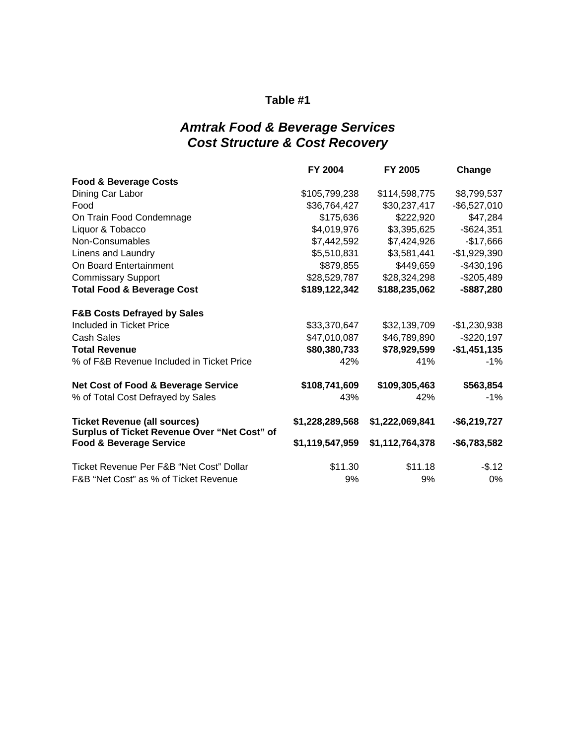### *Amtrak Food & Beverage Services Cost Structure & Cost Recovery*

|                                                                                     | FY 2004         | FY 2005         | Change        |
|-------------------------------------------------------------------------------------|-----------------|-----------------|---------------|
| <b>Food &amp; Beverage Costs</b>                                                    |                 |                 |               |
| Dining Car Labor                                                                    | \$105,799,238   | \$114,598,775   | \$8,799,537   |
| Food                                                                                | \$36,764,427    | \$30,237,417    | $-$6,527,010$ |
| On Train Food Condemnage                                                            | \$175,636       | \$222,920       | \$47,284      |
| Liquor & Tobacco                                                                    | \$4,019,976     | \$3,395,625     | $-$ \$624,351 |
| Non-Consumables                                                                     | \$7,442,592     | \$7,424,926     | $-$17,666$    |
| Linens and Laundry                                                                  | \$5,510,831     | \$3,581,441     | $-$1,929,390$ |
| On Board Entertainment                                                              | \$879,855       | \$449,659       | $-$430,196$   |
| <b>Commissary Support</b>                                                           | \$28,529,787    | \$28,324,298    | $-$205,489$   |
| <b>Total Food &amp; Beverage Cost</b>                                               | \$189,122,342   | \$188,235,062   | -\$887,280    |
| <b>F&amp;B Costs Defrayed by Sales</b>                                              |                 |                 |               |
| Included in Ticket Price                                                            | \$33,370,647    | \$32,139,709    | $-$1,230,938$ |
| <b>Cash Sales</b>                                                                   | \$47,010,087    | \$46,789,890    | $-$220,197$   |
| <b>Total Revenue</b>                                                                | \$80,380,733    | \$78,929,599    | $-$1,451,135$ |
| % of F&B Revenue Included in Ticket Price                                           | 42%             | 41%             | $-1%$         |
| <b>Net Cost of Food &amp; Beverage Service</b>                                      | \$108,741,609   | \$109,305,463   | \$563,854     |
| % of Total Cost Defrayed by Sales                                                   | 43%             | 42%             | $-1\%$        |
| <b>Ticket Revenue (all sources)</b><br>Surplus of Ticket Revenue Over "Net Cost" of | \$1,228,289,568 | \$1,222,069,841 | $-$6,219,727$ |
| <b>Food &amp; Beverage Service</b>                                                  | \$1,119,547,959 | \$1,112,764,378 | $-$6,783,582$ |
| Ticket Revenue Per F&B "Net Cost" Dollar                                            | \$11.30         | \$11.18         | $-$.12$       |
| F&B "Net Cost" as % of Ticket Revenue                                               | 9%              | 9%              | 0%            |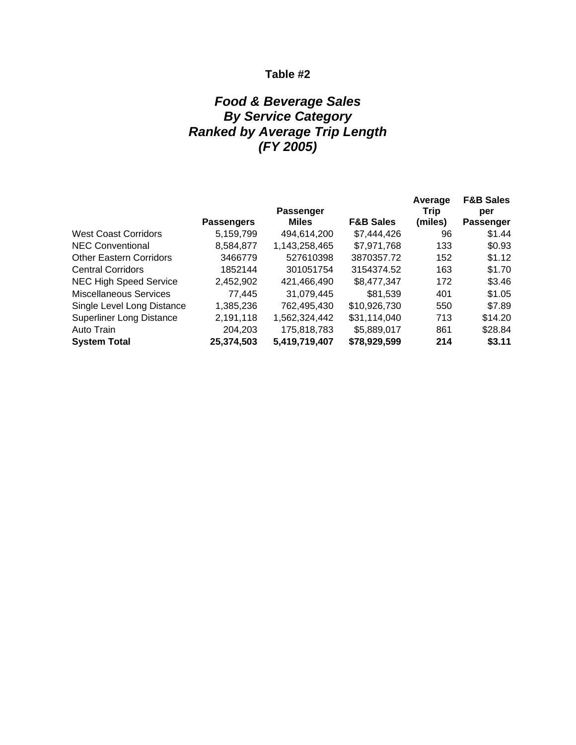## *Food & Beverage Sales By Service Category Ranked by Average Trip Length (FY 2005)*

|                                 | <b>Passenger</b>  |               |                      | Average<br>Trip | <b>F&amp;B Sales</b><br>per |
|---------------------------------|-------------------|---------------|----------------------|-----------------|-----------------------------|
|                                 | <b>Passengers</b> | <b>Miles</b>  | <b>F&amp;B Sales</b> | (miles)         | Passenger                   |
| <b>West Coast Corridors</b>     | 5,159,799         | 494,614,200   | \$7,444,426          | 96              | \$1.44                      |
| <b>NEC Conventional</b>         | 8,584,877         | 1,143,258,465 | \$7,971,768          | 133             | \$0.93                      |
| <b>Other Eastern Corridors</b>  | 3466779           | 527610398     | 3870357.72           | 152             | \$1.12                      |
| <b>Central Corridors</b>        | 1852144           | 301051754     | 3154374.52           | 163             | \$1.70                      |
| <b>NEC High Speed Service</b>   | 2,452,902         | 421,466,490   | \$8,477,347          | 172             | \$3.46                      |
| <b>Miscellaneous Services</b>   | 77,445            | 31,079,445    | \$81,539             | 401             | \$1.05                      |
| Single Level Long Distance      | 1,385,236         | 762,495,430   | \$10,926,730         | 550             | \$7.89                      |
| <b>Superliner Long Distance</b> | 2,191,118         | 1,562,324,442 | \$31,114,040         | 713             | \$14.20                     |
| Auto Train                      | 204,203           | 175,818,783   | \$5,889,017          | 861             | \$28.84                     |
| <b>System Total</b>             | 25,374,503        | 5,419,719,407 | \$78,929,599         | 214             | \$3.11                      |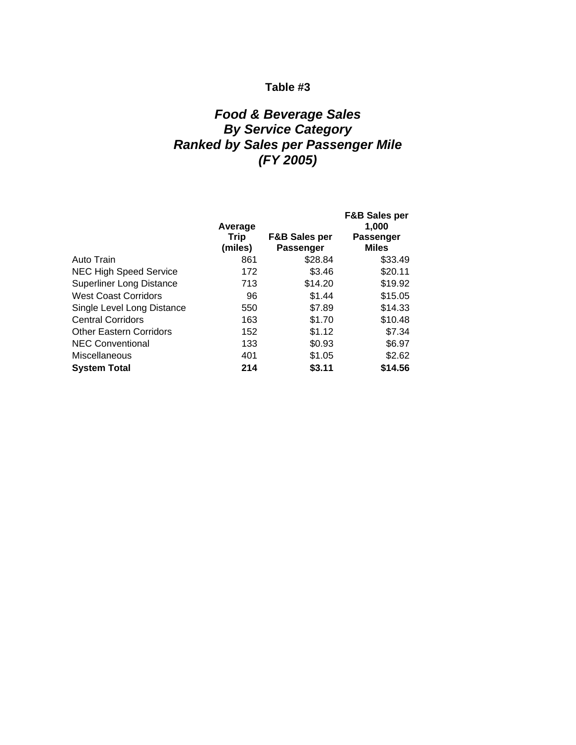### *Food & Beverage Sales By Service Category Ranked by Sales per Passenger Mile (FY 2005)*

|                                 | Average<br>Trip<br>(miles) | <b>F&amp;B Sales per</b><br>Passenger | <b>F&amp;B Sales per</b><br>1.000<br>Passenger<br><b>Miles</b> |
|---------------------------------|----------------------------|---------------------------------------|----------------------------------------------------------------|
| Auto Train                      | 861                        | \$28.84                               | \$33.49                                                        |
| <b>NEC High Speed Service</b>   | 172                        | \$3.46                                | \$20.11                                                        |
| <b>Superliner Long Distance</b> | 713                        | \$14.20                               | \$19.92                                                        |
| <b>West Coast Corridors</b>     | 96                         | \$1.44                                | \$15.05                                                        |
| Single Level Long Distance      | 550                        | \$7.89                                | \$14.33                                                        |
| <b>Central Corridors</b>        | 163                        | \$1.70                                | \$10.48                                                        |
| <b>Other Eastern Corridors</b>  | 152                        | \$1.12                                | \$7.34                                                         |
| <b>NEC Conventional</b>         | 133                        | \$0.93                                | \$6.97                                                         |
| Miscellaneous                   | 401                        | \$1.05                                | \$2.62                                                         |
| <b>System Total</b>             | 214                        | \$3.11                                | \$14.56                                                        |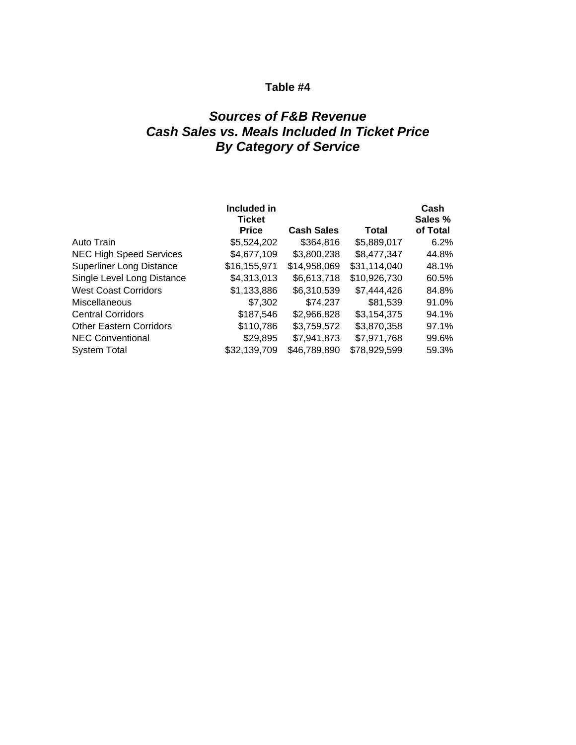## *Sources of F&B Revenue Cash Sales vs. Meals Included In Ticket Price By Category of Service*

|                                 | Included in<br>Ticket |                   |              | Cash<br>Sales % |
|---------------------------------|-----------------------|-------------------|--------------|-----------------|
|                                 | <b>Price</b>          | <b>Cash Sales</b> | Total        | of Total        |
| Auto Train                      | \$5,524,202           | \$364,816         | \$5,889,017  | 6.2%            |
| <b>NEC High Speed Services</b>  | \$4,677,109           | \$3,800,238       | \$8,477,347  | 44.8%           |
| <b>Superliner Long Distance</b> | \$16,155,971          | \$14,958,069      | \$31,114,040 | 48.1%           |
| Single Level Long Distance      | \$4,313,013           | \$6,613,718       | \$10,926,730 | 60.5%           |
| <b>West Coast Corridors</b>     | \$1,133,886           | \$6,310,539       | \$7,444,426  | 84.8%           |
| Miscellaneous                   | \$7,302               | \$74,237          | \$81,539     | 91.0%           |
| <b>Central Corridors</b>        | \$187,546             | \$2,966,828       | \$3,154,375  | 94.1%           |
| <b>Other Eastern Corridors</b>  | \$110,786             | \$3,759,572       | \$3,870,358  | 97.1%           |
| <b>NEC Conventional</b>         | \$29,895              | \$7,941,873       | \$7,971,768  | 99.6%           |
| <b>System Total</b>             | \$32,139,709          | \$46,789,890      | \$78,929,599 | 59.3%           |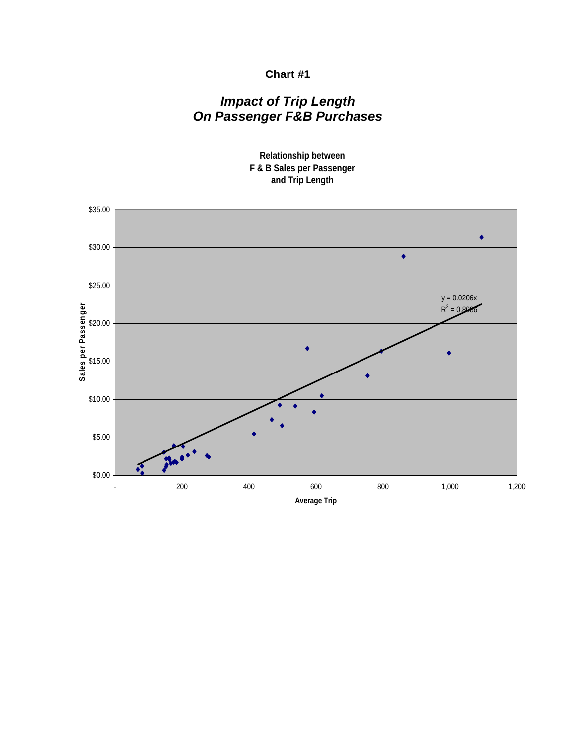### **Chart #1**

# *Impact of Trip Length On Passenger F&B Purchases*



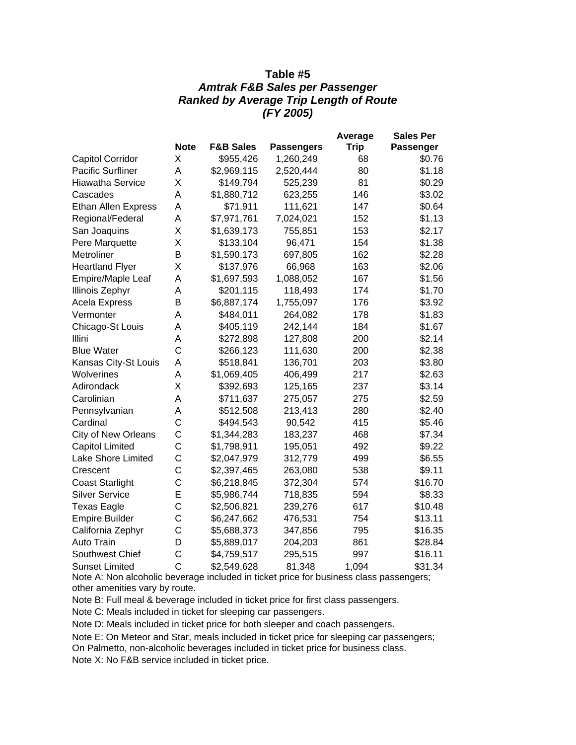#### **Table #5**  *Amtrak F&B Sales per Passenger Ranked by Average Trip Length of Route (FY 2005)*

|                            |                |                      |                   | Average     | <b>Sales Per</b> |
|----------------------------|----------------|----------------------|-------------------|-------------|------------------|
|                            | <b>Note</b>    | <b>F&amp;B Sales</b> | <b>Passengers</b> | <b>Trip</b> | <b>Passenger</b> |
| <b>Capitol Corridor</b>    | X              | \$955,426            | 1,260,249         | 68          | \$0.76           |
| <b>Pacific Surfliner</b>   | A              | \$2,969,115          | 2,520,444         | 80          | \$1.18           |
| <b>Hiawatha Service</b>    | X              | \$149,794            | 525,239           | 81          | \$0.29           |
| Cascades                   | A              | \$1,880,712          | 623,255           | 146         | \$3.02           |
| <b>Ethan Allen Express</b> | A              | \$71,911             | 111,621           | 147         | \$0.64           |
| Regional/Federal           | Α              | \$7,971,761          | 7,024,021         | 152         | \$1.13           |
| San Joaquins               | X              | \$1,639,173          | 755,851           | 153         | \$2.17           |
| Pere Marquette             | Χ              | \$133,104            | 96,471            | 154         | \$1.38           |
| Metroliner                 | B              | \$1,590,173          | 697,805           | 162         | \$2.28           |
| <b>Heartland Flyer</b>     | X              | \$137,976            | 66,968            | 163         | \$2.06           |
| Empire/Maple Leaf          | Α              | \$1,697,593          | 1,088,052         | 167         | \$1.56           |
| <b>Illinois Zephyr</b>     | Α              | \$201,115            | 118,493           | 174         | \$1.70           |
| Acela Express              | B              | \$6,887,174          | 1,755,097         | 176         | \$3.92           |
| Vermonter                  | A              | \$484,011            | 264,082           | 178         | \$1.83           |
| Chicago-St Louis           | A              | \$405,119            | 242,144           | 184         | \$1.67           |
| Illini                     | Α              | \$272,898            | 127,808           | 200         | \$2.14           |
| <b>Blue Water</b>          | C              | \$266,123            | 111,630           | 200         | \$2.38           |
| Kansas City-St Louis       | A              | \$518,841            | 136,701           | 203         | \$3.80           |
| Wolverines                 | A              | \$1,069,405          | 406,499           | 217         | \$2.63           |
| Adirondack                 | X              | \$392,693            | 125,165           | 237         | \$3.14           |
| Carolinian                 | Α              | \$711,637            | 275,057           | 275         | \$2.59           |
| Pennsylvanian              | A              | \$512,508            | 213,413           | 280         | \$2.40           |
| Cardinal                   | C              | \$494,543            | 90,542            | 415         | \$5.46           |
| City of New Orleans        | C              | \$1,344,283          | 183,237           | 468         | \$7.34           |
| <b>Capitol Limited</b>     | C              | \$1,798,911          | 195,051           | 492         | \$9.22           |
| Lake Shore Limited         | C              | \$2,047,979          | 312,779           | 499         | \$6.55           |
| Crescent                   | C              | \$2,397,465          | 263,080           | 538         | \$9.11           |
| <b>Coast Starlight</b>     | C              | \$6,218,845          | 372,304           | 574         | \$16.70          |
| <b>Silver Service</b>      | E              | \$5,986,744          | 718,835           | 594         | \$8.33           |
| <b>Texas Eagle</b>         | C              | \$2,506,821          | 239,276           | 617         | \$10.48          |
| <b>Empire Builder</b>      | C              | \$6,247,662          | 476,531           | 754         | \$13.11          |
| California Zephyr          | C              | \$5,688,373          | 347,856           | 795         | \$16.35          |
| Auto Train                 | D              | \$5,889,017          | 204,203           | 861         | \$28.84          |
| Southwest Chief            | C              | \$4,759,517          | 295,515           | 997         | \$16.11          |
| <b>Sunset Limited</b>      | $\overline{C}$ | \$2,549,628          | 81,348            | 1,094       | \$31.34          |

Note A: Non alcoholic beverage included in ticket price for business class passengers; other amenities vary by route.

Note B: Full meal & beverage included in ticket price for first class passengers.

Note C: Meals included in ticket for sleeping car passengers.

Note D: Meals included in ticket price for both sleeper and coach passengers.

Note E: On Meteor and Star, meals included in ticket price for sleeping car passengers; On Palmetto, non-alcoholic beverages included in ticket price for business class.

Note X: No F&B service included in ticket price.